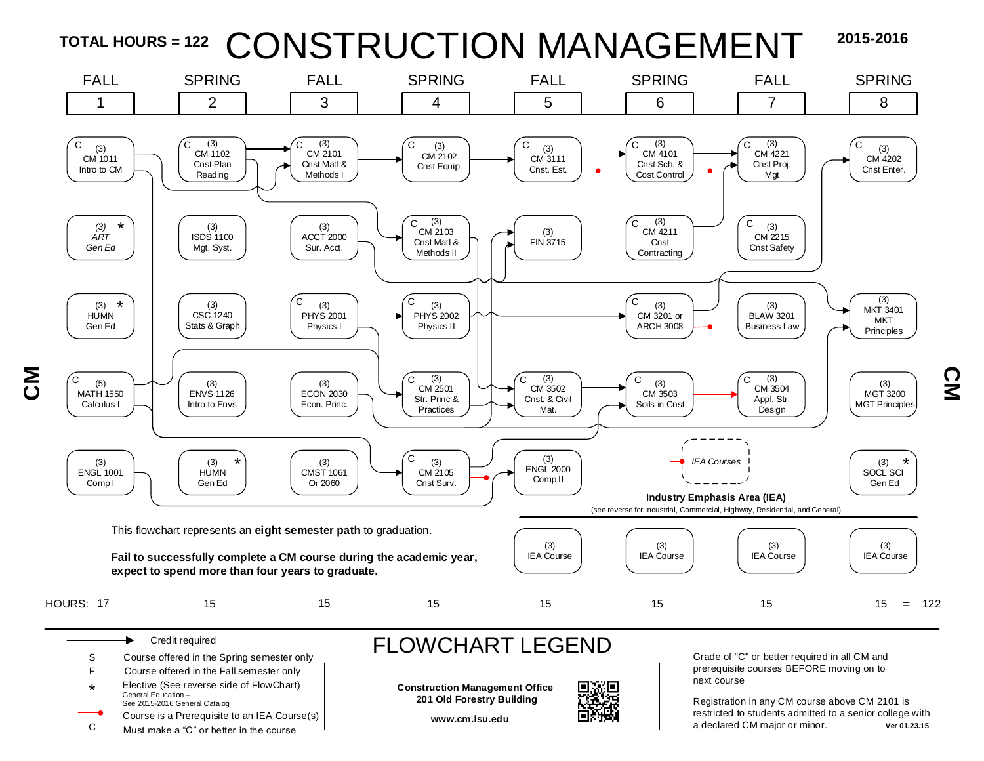



<u>Σ</u>

C Must make a "C" or better in the course

**C** 

a declared CM major or minor. **Ver 01.23.15**